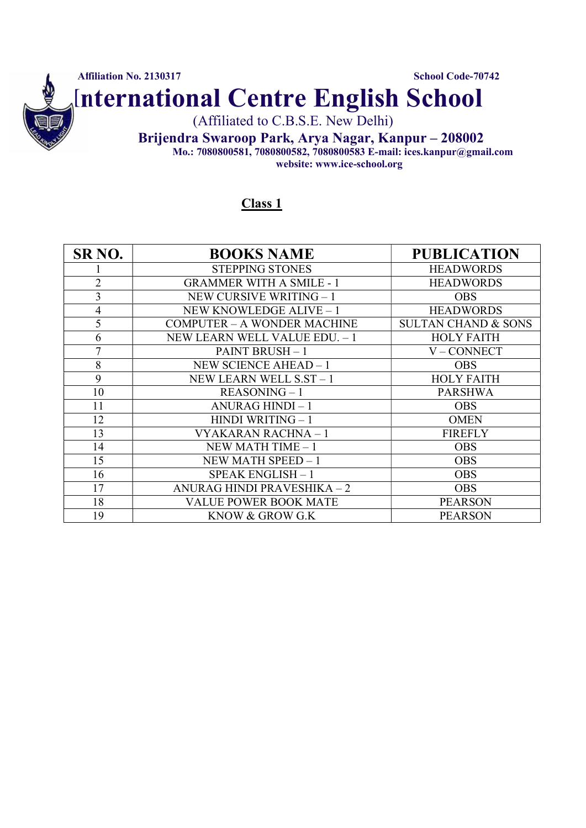

#### Class 1

| SR <sub>NO</sub> . | <b>BOOKS NAME</b>                  | <b>PUBLICATION</b>             |
|--------------------|------------------------------------|--------------------------------|
|                    |                                    |                                |
|                    | <b>STEPPING STONES</b>             | <b>HEADWORDS</b>               |
| $\overline{2}$     | <b>GRAMMER WITH A SMILE - 1</b>    | <b>HEADWORDS</b>               |
| 3                  | NEW CURSIVE WRITING - 1            | <b>OBS</b>                     |
| $\overline{4}$     | NEW KNOWLEDGE ALIVE - 1            | <b>HEADWORDS</b>               |
| 5                  | <b>COMPUTER - A WONDER MACHINE</b> | <b>SULTAN CHAND &amp; SONS</b> |
| 6                  | NEW LEARN WELL VALUE EDU. - 1      | <b>HOLY FAITH</b>              |
| 7                  | <b>PAINT BRUSH-1</b>               | V-CONNECT                      |
| 8                  | NEW SCIENCE AHEAD - 1              | OBS.                           |
| 9                  | NEW LEARN WELL S.ST - 1            | <b>HOLY FAITH</b>              |
| 10                 | $REASONING-1$                      | <b>PARSHWA</b>                 |
| 11                 | ANURAG HINDI-1                     | <b>OBS</b>                     |
| 12                 | <b>HINDI WRITING - 1</b>           | <b>OMEN</b>                    |
| 13                 | VYAKARAN RACHNA - 1                | <b>FIREFLY</b>                 |
| 14                 | NEW MATH TIME $-1$                 | <b>OBS</b>                     |
| 15                 | NEW MATH SPEED - 1                 | <b>OBS</b>                     |
| 16                 | SPEAK ENGLISH - 1                  | <b>OBS</b>                     |
| 17                 | ANURAG HINDI PRAVESHIKA - 2        | <b>OBS</b>                     |
| 18                 | VALUE POWER BOOK MATE              | <b>PEARSON</b>                 |
| 19                 | KNOW & GROW G.K                    | <b>PEARSON</b>                 |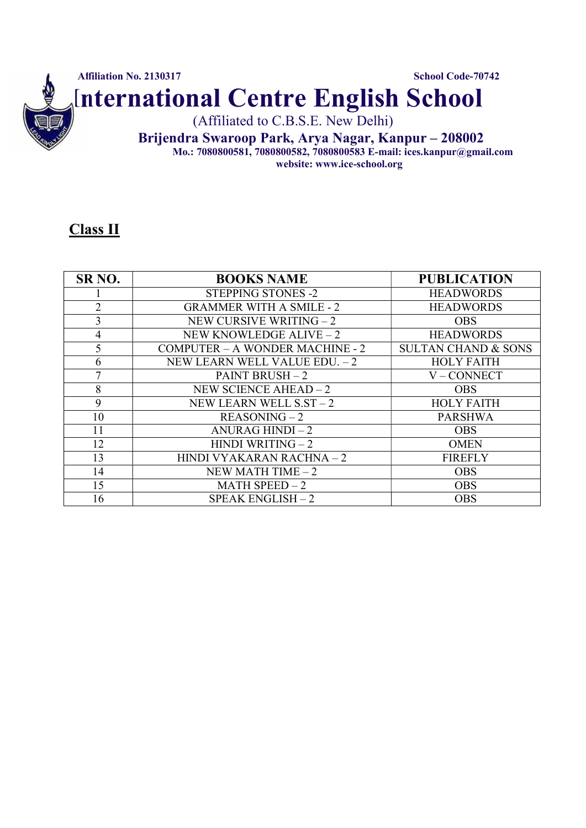

#### Class II

| SR <sub>NO</sub> . | <b>BOOKS NAME</b>                      | <b>PUBLICATION</b>             |
|--------------------|----------------------------------------|--------------------------------|
|                    | <b>STEPPING STONES -2</b>              | <b>HEADWORDS</b>               |
| $\overline{2}$     | <b>GRAMMER WITH A SMILE - 2</b>        | <b>HEADWORDS</b>               |
| 3                  | NEW CURSIVE WRITING $-2$               | <b>OBS</b>                     |
| 4                  | NEW KNOWLEDGE ALIVE - 2                | <b>HEADWORDS</b>               |
| 5                  | <b>COMPUTER - A WONDER MACHINE - 2</b> | <b>SULTAN CHAND &amp; SONS</b> |
| 6                  | NEW LEARN WELL VALUE EDU. - 2          | <b>HOLY FAITH</b>              |
| 7                  | <b>PAINT BRUSH - 2</b>                 | V-CONNECT                      |
| 8                  | NEW SCIENCE AHEAD $-2$                 | <b>OBS</b>                     |
| 9                  | NEW LEARN WELL $SST-2$                 | <b>HOLY FAITH</b>              |
| 10                 | $REASONING-2$                          | <b>PARSHWA</b>                 |
| 11                 | ANURAG HINDI $-2$                      | <b>OBS</b>                     |
| 12                 | <b>HINDI WRITING - 2</b>               | <b>OMEN</b>                    |
| 13                 | HINDI VYAKARAN RACHNA - 2              | <b>FIREFLY</b>                 |
| 14                 | NEW MATH TIME $-2$                     | <b>OBS</b>                     |
| 15                 | MATH SPEED $-2$                        | <b>OBS</b>                     |
| 16                 | $SPEAK ENGLISH-2$                      | <b>OBS</b>                     |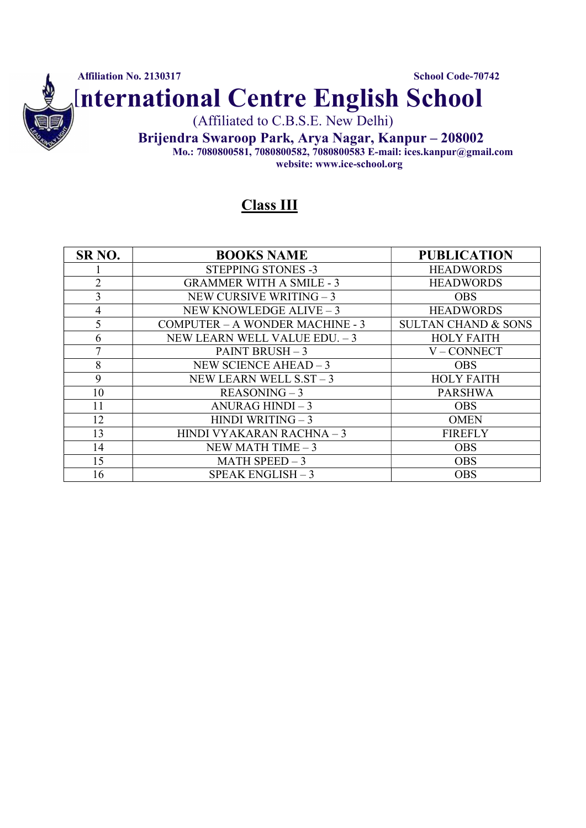

Class III

| SR <sub>NO</sub> . | <b>BOOKS NAME</b>                      | <b>PUBLICATION</b>             |
|--------------------|----------------------------------------|--------------------------------|
|                    | <b>STEPPING STONES -3</b>              | <b>HEADWORDS</b>               |
| $\overline{2}$     | <b>GRAMMER WITH A SMILE - 3</b>        | <b>HEADWORDS</b>               |
| 3                  | NEW CURSIVE WRITING $-3$               | <b>OBS</b>                     |
| 4                  | NEW KNOWLEDGE ALIVE - 3                | <b>HEADWORDS</b>               |
| 5                  | <b>COMPUTER - A WONDER MACHINE - 3</b> | <b>SULTAN CHAND &amp; SONS</b> |
| 6                  | NEW LEARN WELL VALUE EDU. - 3          | <b>HOLY FAITH</b>              |
| 7                  | PAINT BRUSH $-3$                       | V-CONNECT                      |
| 8                  | NEW SCIENCE AHEAD $-3$                 | <b>OBS</b>                     |
| 9                  | NEW LEARN WELL $SST-3$                 | <b>HOLY FAITH</b>              |
| 10                 | $REASONING-3$                          | <b>PARSHWA</b>                 |
| 11                 | ANURAG HINDI $-3$                      | <b>OBS</b>                     |
| 12                 | HINDI WRITING $-3$                     | <b>OMEN</b>                    |
| 13                 | HINDI VYAKARAN RACHNA - 3              | <b>FIREFLY</b>                 |
| 14                 | NEW MATH TIME $-3$                     | <b>OBS</b>                     |
| 15                 | MATH SPEED $-3$                        | <b>OBS</b>                     |
| 16                 | SPEAK ENGLISH - 3                      | <b>OBS</b>                     |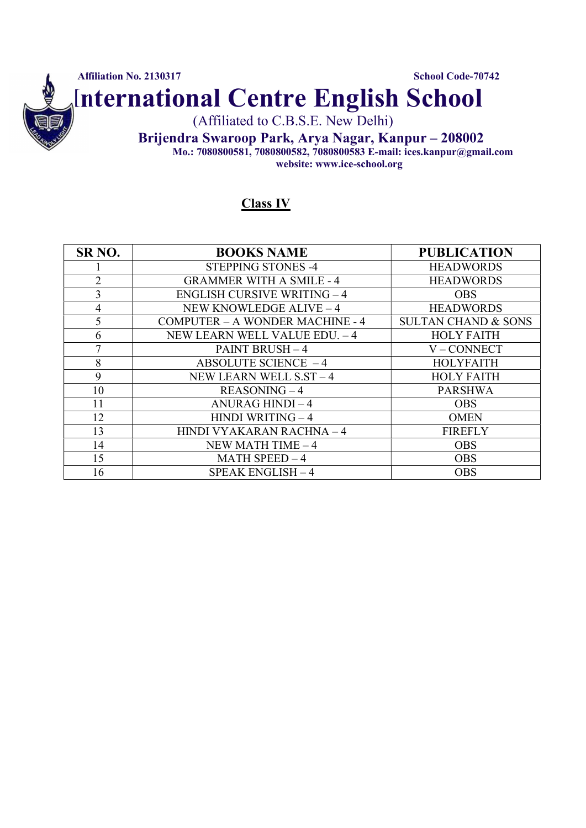

### Class IV

| SR <sub>NO</sub> . | <b>BOOKS NAME</b>                      | <b>PUBLICATION</b>             |
|--------------------|----------------------------------------|--------------------------------|
|                    | <b>STEPPING STONES -4</b>              | <b>HEADWORDS</b>               |
| $\overline{2}$     | <b>GRAMMER WITH A SMILE - 4</b>        | <b>HEADWORDS</b>               |
| 3                  | <b>ENGLISH CURSIVE WRITING - 4</b>     | <b>OBS</b>                     |
| $\overline{4}$     | NEW KNOWLEDGE ALIVE - 4                | <b>HEADWORDS</b>               |
| 5                  | <b>COMPUTER - A WONDER MACHINE - 4</b> | <b>SULTAN CHAND &amp; SONS</b> |
| 6                  | NEW LEARN WELL VALUE EDU. - 4          | <b>HOLY FAITH</b>              |
| 7                  | <b>PAINT BRUSH - 4</b>                 | V-CONNECT                      |
| 8                  | ABSOLUTE SCIENCE $-4$                  | <b>HOLYFAITH</b>               |
| 9                  | NEW LEARN WELL S.ST - 4                | <b>HOLY FAITH</b>              |
| 10                 | $REASONING - 4$                        | <b>PARSHWA</b>                 |
| 11                 | ANURAG HINDI - 4                       | <b>OBS</b>                     |
| 12                 | HINDI WRITING-4                        | <b>OMEN</b>                    |
| 13                 | HINDI VYAKARAN RACHNA - 4              | <b>FIREFLY</b>                 |
| 14                 | NEW MATH TIME $-4$                     | <b>OBS</b>                     |
| 15                 | MATH SPEED $-4$                        | <b>OBS</b>                     |
| 16                 | SPEAK ENGLISH - 4                      | <b>OBS</b>                     |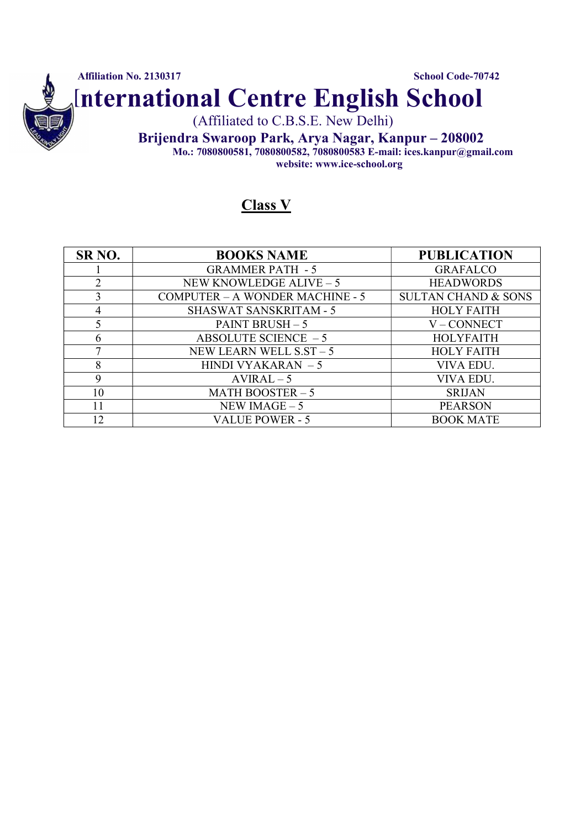

### Class V

| SR <sub>NO</sub> . | <b>BOOKS NAME</b>                      | <b>PUBLICATION</b>             |
|--------------------|----------------------------------------|--------------------------------|
|                    | <b>GRAMMER PATH - 5</b>                | <b>GRAFALCO</b>                |
| 2                  | NEW KNOWLEDGE ALIVE - 5                | <b>HEADWORDS</b>               |
| 3                  | <b>COMPUTER - A WONDER MACHINE - 5</b> | <b>SULTAN CHAND &amp; SONS</b> |
| 4                  | <b>SHASWAT SANSKRITAM - 5</b>          | <b>HOLY FAITH</b>              |
|                    | PAINT BRUSH $-5$                       | V-CONNECT                      |
| 6                  | ABSOLUTE SCIENCE $-5$                  | <b>HOLYFAITH</b>               |
|                    | NEW LEARN WELL $SST - 5$               | <b>HOLY FAITH</b>              |
| 8                  | HINDI VYAKARAN $-5$                    | VIVA EDU.                      |
| 9                  | $AVIRAL-5$                             | VIVA EDU.                      |
| 10                 | MATH BOOSTER $-5$                      | <b>SRIJAN</b>                  |
| 11                 | NEW IMAGE $-5$                         | <b>PEARSON</b>                 |
| 12                 | <b>VALUE POWER - 5</b>                 | <b>BOOK MATE</b>               |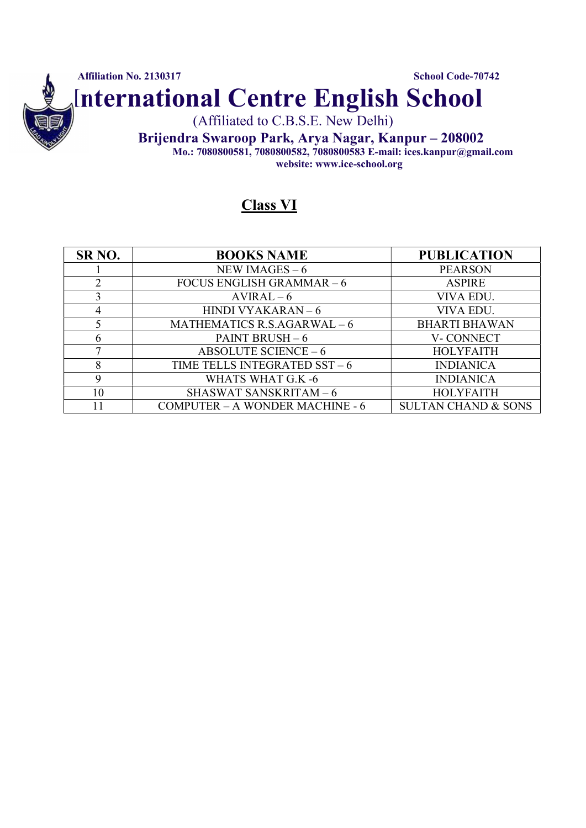

### Class VI

| SR <sub>NO</sub> . | <b>BOOKS NAME</b>                      | <b>PUBLICATION</b>             |
|--------------------|----------------------------------------|--------------------------------|
|                    | NEW IMAGES $-6$                        | <b>PEARSON</b>                 |
| 2                  | FOCUS ENGLISH GRAMMAR $-6$             | <b>ASPIRE</b>                  |
| 3                  | $AVIRAL-6$                             | VIVA EDU.                      |
| 4                  | HINDI VYAKARAN $-6$                    | VIVA EDU.                      |
| 5                  | MATHEMATICS R.S.AGARWAL $-6$           | <b>BHARTI BHAWAN</b>           |
| 6                  | PAINT BRUSH $-6$                       | V-CONNECT                      |
|                    | ABSOLUTE SCIENCE $-6$                  | <b>HOLYFAITH</b>               |
| 8                  | TIME TELLS INTEGRATED $SST - 6$        | <b>INDIANICA</b>               |
| 9                  | WHATS WHAT G.K -6                      | <b>INDIANICA</b>               |
| 10                 | <b>SHASWAT SANSKRITAM-6</b>            | <b>HOLYFAITH</b>               |
|                    | <b>COMPUTER - A WONDER MACHINE - 6</b> | <b>SULTAN CHAND &amp; SONS</b> |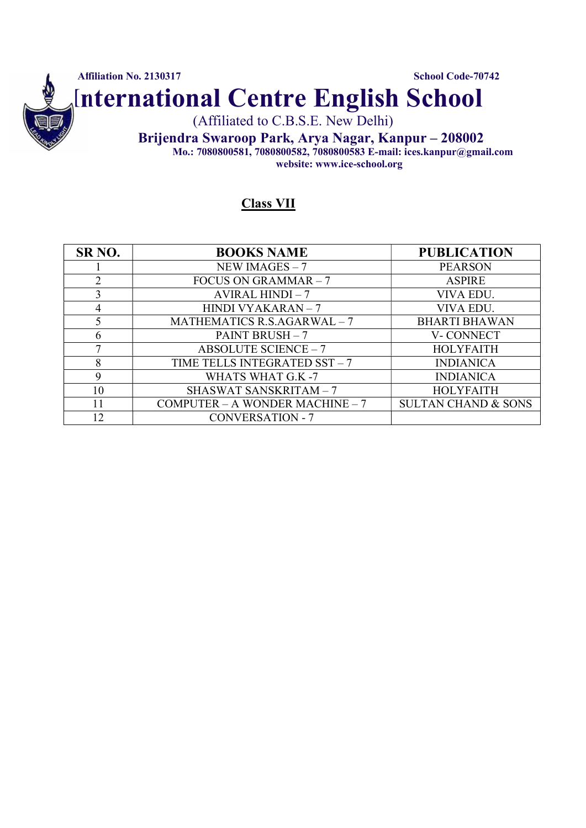

#### Class VII

| SR <sub>NO</sub> . | <b>BOOKS NAME</b>                   | <b>PUBLICATION</b>             |
|--------------------|-------------------------------------|--------------------------------|
|                    | NEW IMAGES $-7$                     | <b>PEARSON</b>                 |
| 2                  | FOCUS ON GRAMMAR $-7$               | <b>ASPIRE</b>                  |
| 3                  | AVIRAL HINDI $-7$                   | VIVA EDU.                      |
| 4                  | HINDI VYAKARAN - 7                  | VIVA EDU.                      |
|                    | MATHEMATICS R.S.AGARWAL $-7$        | <b>BHARTI BHAWAN</b>           |
| 6                  | PAINT BRUSH $-7$                    | V-CONNECT                      |
| 7                  | <b>ABSOLUTE SCIENCE - 7</b>         | <b>HOLYFAITH</b>               |
| 8                  | TIME TELLS INTEGRATED SST - 7       | <b>INDIANICA</b>               |
| 9                  | WHATS WHAT G.K -7                   | <b>INDIANICA</b>               |
| 10                 | <b>SHASWAT SANSKRITAM - 7</b>       | <b>HOLYFAITH</b>               |
| 11                 | COMPUTER $-$ A WONDER MACHINE $-$ 7 | <b>SULTAN CHAND &amp; SONS</b> |
| 12                 | <b>CONVERSATION - 7</b>             |                                |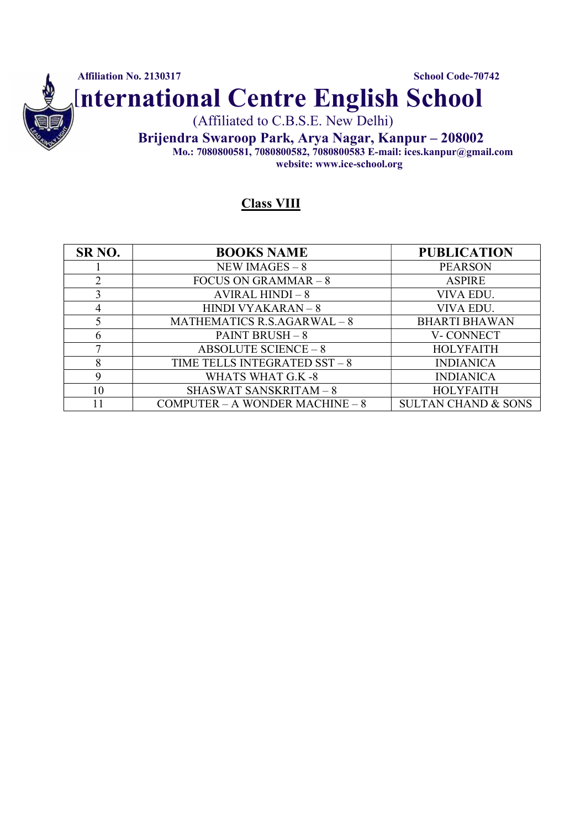

#### Class VIII

| SR <sub>NO</sub> . | <b>BOOKS NAME</b>                   | <b>PUBLICATION</b>             |
|--------------------|-------------------------------------|--------------------------------|
|                    | NEW IMAGES $-8$                     | <b>PEARSON</b>                 |
| 2                  | FOCUS ON GRAMMAR $-8$               | <b>ASPIRE</b>                  |
| 3                  | AVIRAL HINDI $-8$                   | VIVA EDU.                      |
| 4                  | <b>HINDI VYAKARAN – 8</b>           | VIVA EDU.                      |
|                    | MATHEMATICS R.S.AGARWAL $-8$        | <b>BHARTI BHAWAN</b>           |
| 6                  | PAINT BRUSH $-8$                    | V-CONNECT                      |
| ⇁                  | <b>ABSOLUTE SCIENCE - 8</b>         | <b>HOLYFAITH</b>               |
| 8                  | TIME TELLS INTEGRATED $SST - 8$     | <b>INDIANICA</b>               |
| 9                  | WHATS WHAT G.K -8                   | <b>INDIANICA</b>               |
| 10                 | <b>SHASWAT SANSKRITAM-8</b>         | <b>HOLYFAITH</b>               |
|                    | COMPUTER $- A$ WONDER MACHINE $- 8$ | <b>SULTAN CHAND &amp; SONS</b> |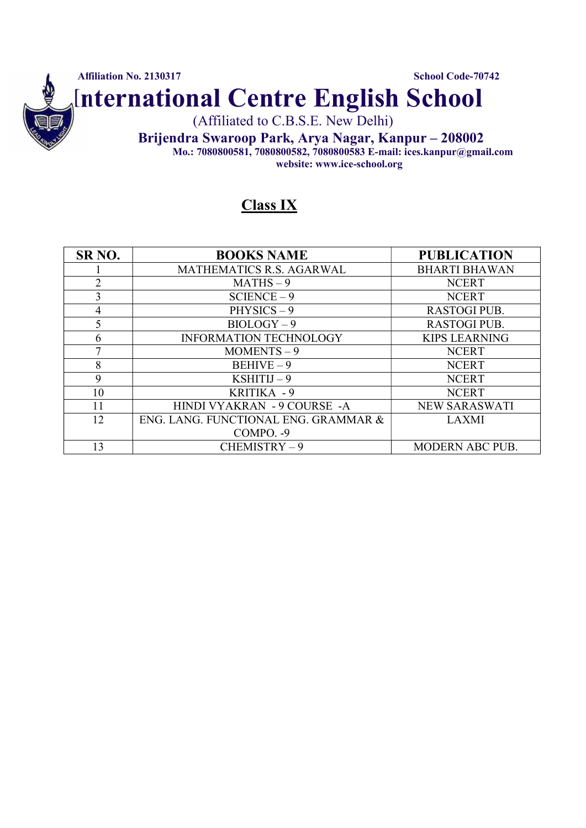

### Class IX

| SR <sub>NO</sub> . | <b>BOOKS NAME</b>                    | <b>PUBLICATION</b>     |
|--------------------|--------------------------------------|------------------------|
|                    | MATHEMATICS R.S. AGARWAL             | <b>BHARTI BHAWAN</b>   |
| $\overline{2}$     | $MATHS - 9$                          | <b>NCERT</b>           |
| 3                  | $SCIENCE - 9$                        | <b>NCERT</b>           |
| 4                  | $PHYSICS - 9$                        | <b>RASTOGI PUB.</b>    |
| 5                  | $BIOLOGY - 9$                        | <b>RASTOGI PUB.</b>    |
| 6                  | <b>INFORMATION TECHNOLOGY</b>        | <b>KIPS LEARNING</b>   |
| 7                  | $MOMENTS - 9$                        | <b>NCERT</b>           |
| 8                  | $BEHIVE-9$                           | <b>NCERT</b>           |
| 9                  | $KSHITIJ-9$                          | <b>NCERT</b>           |
| 10                 | KRITIKA - 9                          | <b>NCERT</b>           |
| 11                 | HINDI VYAKRAN - 9 COURSE - A         | <b>NEW SARASWATI</b>   |
| 12                 | ENG. LANG. FUNCTIONAL ENG. GRAMMAR & | <b>LAXMI</b>           |
|                    | COMPO. - 9                           |                        |
| 13                 | CHEMISTRY-9                          | <b>MODERN ABC PUB.</b> |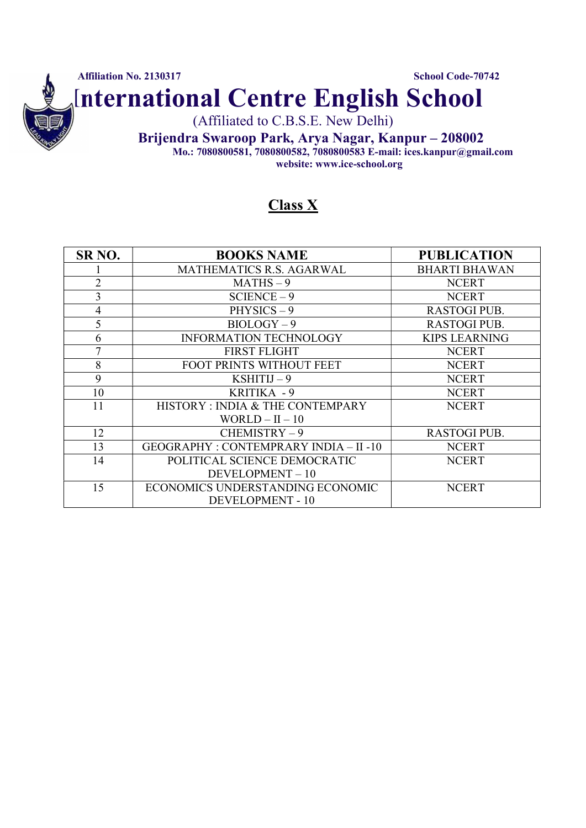

## Class X

| SR <sub>NO</sub> . | <b>BOOKS NAME</b>                            | <b>PUBLICATION</b>   |
|--------------------|----------------------------------------------|----------------------|
|                    | MATHEMATICS R.S. AGARWAL                     | <b>BHARTI BHAWAN</b> |
| $\overline{2}$     | $MATHS - 9$                                  | <b>NCERT</b>         |
| 3                  | $SCIENCE - 9$                                | <b>NCERT</b>         |
| 4                  | $PHYSICS - 9$                                | <b>RASTOGI PUB.</b>  |
| 5                  | $BIOLOGY - 9$                                | <b>RASTOGI PUB.</b>  |
| 6                  | <b>INFORMATION TECHNOLOGY</b>                | <b>KIPS LEARNING</b> |
| 7                  | <b>FIRST FLIGHT</b>                          | <b>NCERT</b>         |
| 8                  | FOOT PRINTS WITHOUT FEET                     | <b>NCERT</b>         |
| 9                  | $KSHITIJ-9$                                  | <b>NCERT</b>         |
| 10                 | KRITIKA - 9                                  | <b>NCERT</b>         |
| 11                 | HISTORY: INDIA & THE CONTEMPARY              | <b>NCERT</b>         |
|                    | WORLD $-$ II $-$ 10                          |                      |
| 12                 | $CHEMISTRY-9$                                | <b>RASTOGI PUB.</b>  |
| 13                 | <b>GEOGRAPHY: CONTEMPRARY INDIA - II -10</b> | <b>NCERT</b>         |
| 14                 | POLITICAL SCIENCE DEMOCRATIC                 | <b>NCERT</b>         |
|                    | DEVELOPMENT-10                               |                      |
| 15                 | ECONOMICS UNDERSTANDING ECONOMIC             | <b>NCERT</b>         |
|                    | <b>DEVELOPMENT - 10</b>                      |                      |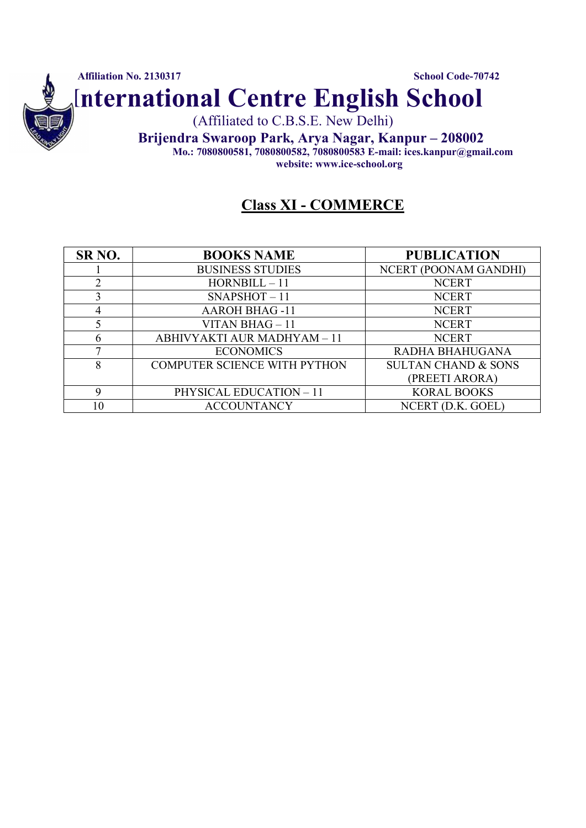

# Class XI - COMMERCE

| SR <sub>NO</sub> . | <b>BOOKS NAME</b>            | <b>PUBLICATION</b>             |
|--------------------|------------------------------|--------------------------------|
|                    | <b>BUSINESS STUDIES</b>      | NCERT (POONAM GANDHI)          |
|                    | $HORNBILL - 11$              | <b>NCERT</b>                   |
|                    | $SNAPSHOT-11$                | <b>NCERT</b>                   |
|                    | <b>AAROH BHAG-11</b>         | <b>NCERT</b>                   |
|                    | VITAN BHAG $-11$             | <b>NCERT</b>                   |
|                    | ABHIVYAKTI AUR MADHYAM - 11  | <b>NCERT</b>                   |
|                    | <b>ECONOMICS</b>             | RADHA BHAHUGANA                |
| 8                  | COMPUTER SCIENCE WITH PYTHON | <b>SULTAN CHAND &amp; SONS</b> |
|                    |                              | (PREETI ARORA)                 |
| $\mathbf Q$        | PHYSICAL EDUCATION - 11      | <b>KORAL BOOKS</b>             |
| 10                 | <b>ACCOUNTANCY</b>           | NCERT (D.K. GOEL)              |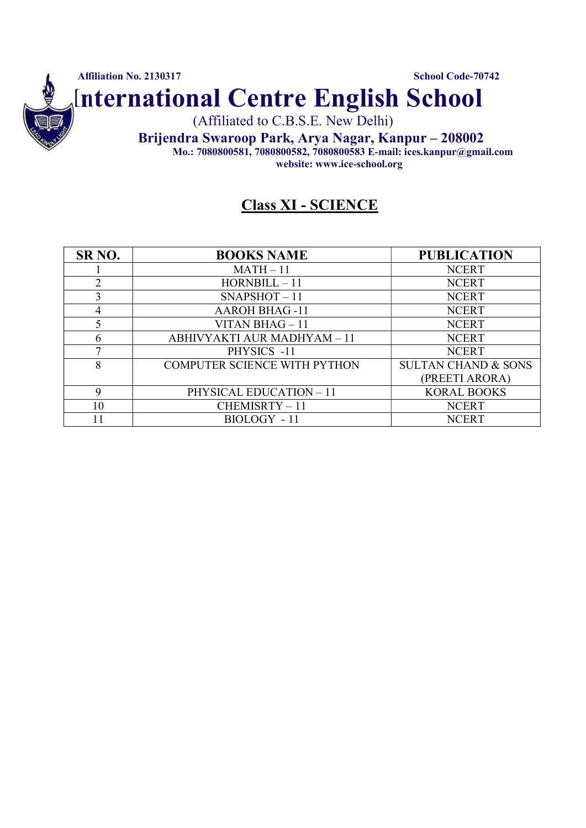

### Class XI - SCIENCE

| SR <sub>NO</sub> . | <b>BOOKS NAME</b>                   | <b>PUBLICATION</b>             |
|--------------------|-------------------------------------|--------------------------------|
|                    | $MATH - 11$                         | <b>NCERT</b>                   |
| ↑                  | $HORNBILL - 11$                     | <b>NCERT</b>                   |
|                    | $SNAPSHOT-11$                       | <b>NCERT</b>                   |
|                    | <b>AAROH BHAG-11</b>                | <b>NCERT</b>                   |
|                    | <b>VITAN BHAG</b> $-11$             | <b>NCERT</b>                   |
| h.                 | ABHIVYAKTI AUR MADHYAM - 11         | <b>NCERT</b>                   |
|                    | PHYSICS -11                         | <b>NCERT</b>                   |
| 8                  | <b>COMPUTER SCIENCE WITH PYTHON</b> | <b>SULTAN CHAND &amp; SONS</b> |
|                    |                                     | (PREETI ARORA)                 |
|                    | <b>PHYSICAL EDUCATION - 11</b>      | <b>KORAL BOOKS</b>             |
| 10                 | CHEMISRTY-11                        | <b>NCERT</b>                   |
|                    | BIOLOGY - 11                        | <b>NCERT</b>                   |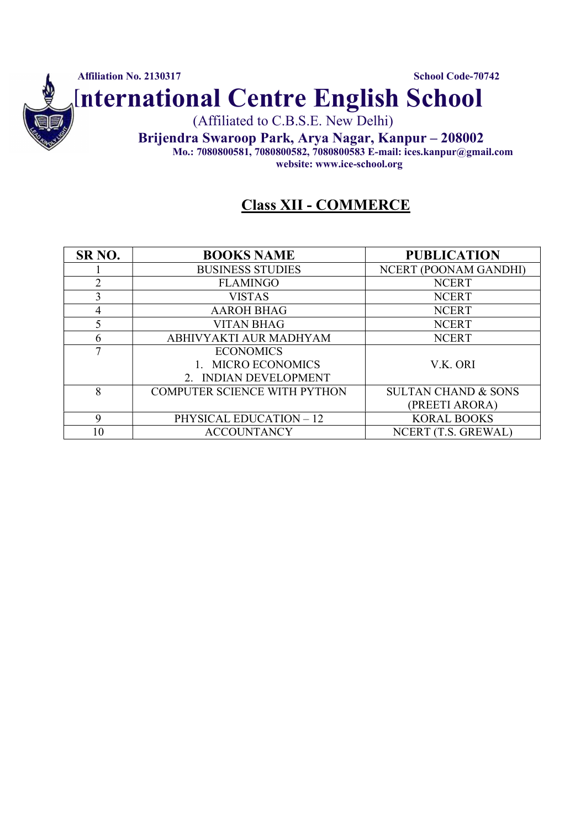

### Class XII - COMMERCE

| SR <sub>NO</sub> . | <b>BOOKS NAME</b>                   | <b>PUBLICATION</b>             |
|--------------------|-------------------------------------|--------------------------------|
|                    | <b>BUSINESS STUDIES</b>             | NCERT (POONAM GANDHI)          |
| $\mathfrak{D}$     | <b>FLAMINGO</b>                     | <b>NCERT</b>                   |
|                    | <b>VISTAS</b>                       | <b>NCERT</b>                   |
| 4                  | <b>AAROH BHAG</b>                   | <b>NCERT</b>                   |
|                    | <b>VITAN BHAG</b>                   | <b>NCERT</b>                   |
| 6                  | ABHIVYAKTI AUR MADHYAM              | <b>NCERT</b>                   |
| 7                  | <b>ECONOMICS</b>                    |                                |
|                    | <b>MICRO ECONOMICS</b>              | V.K. ORI                       |
|                    | 2. INDIAN DEVELOPMENT               |                                |
| 8                  | <b>COMPUTER SCIENCE WITH PYTHON</b> | <b>SULTAN CHAND &amp; SONS</b> |
|                    |                                     | (PREETI ARORA)                 |
| $\mathbf Q$        | <b>PHYSICAL EDUCATION - 12</b>      | <b>KORAL BOOKS</b>             |
| 10                 | <b>ACCOUNTANCY</b>                  | NCERT (T.S. GREWAL)            |